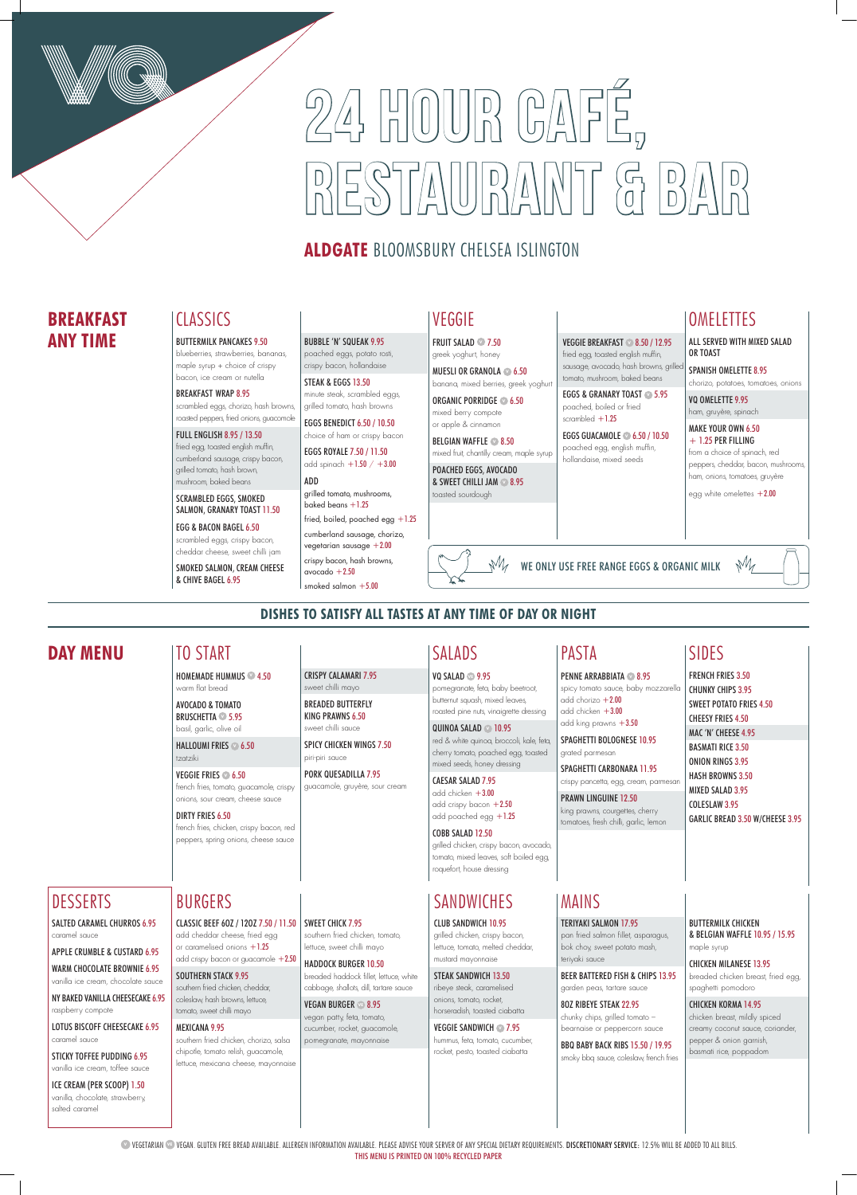**VEGETARIAN <sup>®</sup> VEGAN. GLUTEN FREE BREAD AVAILABLE. ALLERGEN INFORMATION AVAILABLE. PLEASE ADVISE YOUR SERVER OF ANY SPECIAL DIETARY REQUIREMENTS. DISCRETIONARY SERVICE: 12.5% WILL BE ADDED TO ALL BILLS.** THIS MENU IS PRINTED ON 100% RECYCLED PAPER

# 24 HOUR CAFÉ,  $\frac{1}{2}$

# **ALDGATE BLOOMSBURY CHELSEA ISLINGTON**

CLASSIC BEEF 6OZ / 12OZ 7.50 / 11.50 SWEET CHICK 7.95 add cheddar cheese, fried egg or caramelised onions  $+1.25$ add crispy bacon or guacamole +2.50

### **DISHES TO SATISFY ALL TASTES AT ANY TIME OF DAY OR NIGHT**

SOUTHERN STACK 9.95

southern fried chicken, cheddar, coleslaw, hash browns, lettuce, tomato, sweet chilli mayo

### MEXICANA 9.95

southern fried chicken, chorizo, salsa chipotle, tomato relish, guacamole, lettuce, mexicana cheese, mayonnaise

### mixed seeds, honey dressing CAESAR SALAD 7.95 add chicken  $+3.00$

add crispy bacon  $+2.50$ add poached egg +1.25

southern fried chicken, tomato, lettuce, sweet chilli mayo

HADDOCK BURGER 10.50 breaded haddock fillet, lettuce, white **PENNE ARRABBIATA <b>2** 8.95 spicy tomato sauce, baby mozzarella

add chorizo  $+2.00$ add chicken +3.00

cabbage, shallots, dill, tartare sauce

grated parmesan SPAGHETTI CARBONARA 11.95 crispy pancetta, egg, cream, parmesar

VEGAN BURGER **VE** 8.95 vegan patty, feta, tomato, cucumber, rocket, guacamole, pomegranate, mayonnaise

### **SANDWICHES**

### BURGERS

### **DAY MENU** SIDES

### FRENCH FRIES 3.50 CHUNKY CHIPS 3.95 SWEET POTATO FRIES 4.50 CHEESY FRIES 4.50 MAC 'N' CHEESE 4.95 BASMATI RICE 3.50 ONION RINGS 3.95

HASH BROWNS 3.50 MIXED SALAD 3.95

COLESLAW 3.95 GARLIC BREAD 3.50 W/CHEESE 3.95

# SALADS

VQ SALAD **VE** 9.95 pomegranate, feta, baby beetroot, butternut squash, mixed leaves, roasted pine nuts, vinaigrette dressing

> QUINOA SALAD **V** 10.95 red & white quinoa, broccoli, kale, feta, cherry tomato, poached egg, toasted

### COBB SALAD 12.50

grilled chicken, crispy bacon, avocado, tomato, mixed leaves, soft boiled egg, roquefort, house dressing

VEGGIE SANDWICH **27.95** hummus, feta, tomato, cucumber, rocket, pesto, toasted ciabatta

### add king prawns +3.50 SPAGHETTI BOLOGNESE 10.95

PRAWN LINGUINE 12.50

king prawns, courgettes, cherry tomatoes, fresh chilli, garlic, lemon

### PASTA

CRISPY CALAMARI 7.95 sweet chilli mayo BREADED BUTTERFLY KING PRAWNS 6.50 sweet chilli sauce

SPICY CHICKEN WINGS 7.50

piri-piri sauce

PORK QUESADILLA 7.95 guacamole, gruyère, sour cream

## TO START

HOMEMADE HUMMUS **<sup>V</sup>** 4.50 warm flat bread

EGGS ROYALE 7.50 / 11.50 add spinach  $+1.50 / +3.00$ 

ADD grilled tomato, mushrooms, baked beans  $+1.25$ 

AVOCADO & TOMATO BRUSCHETTA **<sup>V</sup>** 5.95 basil, garlic, olive oil

HALLOUMI FRIES **<sup>V</sup>** 6.50 tzatziki

### VEGGIE FRIES **<sup>V</sup>** 6.50

french fries, tomato, guacamole, crispy onions, sour cream, cheese sauce

### DIRTY FRIES 6.50

french fries, chicken, crispy bacon, red peppers, spring onions, cheese sauce

BELGIAN WAFFLE **2**8.50 mixed fruit, chantilly cream, maple syrup

### MAINS

#### TERIYAKI SALMON 17.95

pan fried salmon fillet, asparagus, bok choy, sweet potato mash, teriyaki sauce

EGGS & GRANARY TOAST **<sup>V</sup>** 5.95 poached, boiled or fried scrambled  $+1.25$ 

BEER BATTERED FISH & CHIPS 13.95 garden peas, tartare sauce

SPANISH OMELETTE 8.95 chorizo, potatoes, tomatoes, onions

8OZ RIBEYE STEAK 22.95 chunky chips, grilled tomato – bearnaise or peppercorn sauce VQ OMELETTE 9.95 ham, gruyère, spinach

### MAKE YOUR OWN 6.50  $+ 1.25$  PER FILLING

BBQ BABY BACK RIBS 15.50 / 19.95 smoky bbq sauce, coleslaw, french fries BUTTERMILK CHICKEN & BELGIAN WAFFLE 10.95 / 15.95 maple syrup

CHICKEN MILANESE 13.95 breaded chicken breast, fried egg, spaghetti pomodoro

CHICKEN KORMA 14.95 chicken breast, mildly spiced creamy coconut sauce, coriander, pepper & onion garnish, basmati rice, poppadom

#### CLUB SANDWICH 10.95

grilled chicken, crispy bacon, lettuce, tomato, melted cheddar, mustard mayonnaise

#### STEAK SANDWICH 13.50

ribeye steak, caramelised onions, tomato, rocket, horseradish, toasted ciabatta

### DESSERTS

SALTED CARAMEL CHURROS 6.95 caramel sauce

APPLE CRUMBLE & CUSTARD 6.95

WARM CHOCOLATE BROWNIE 6.95 vanilla ice cream, chocolate sauce

NY BAKED VANILLA CHEESECAKE 6.95

raspberry compote

#### LOTUS BISCOFF CHEESECAKE 6.95 caramel sauce

STICKY TOFFEE PUDDING 6.95 vanilla ice cream, toffee sauce

ICE CREAM (PER SCOOP) 1.50

vanilla, chocolate, strawberry, salted caramel

#### BUTTERMILK PANCAKES 9.50

blueberries, strawberries, bananas, maple syrup + choice of crispy bacon, ice cream or nutella

#### BREAKFAST WRAP 8.95

scrambled eggs, chorizo, hash browns, roasted peppers, fried onions, guacomole

#### FULL ENGLISH 8.95 / 13.50

fried egg, toasted english muffin, cumberland sausage, crispy bacon, grilled tomato, hash brown, mushroom, baked beans

SCRAMBLED EGGS, SMOKED SALMON, GRANARY TOAST 11.50

#### EGG & BACON BAGEL 6.50 scrambled eggs, crispy bacon,

cheddar cheese, sweet chilli jam SMOKED SALMON, CREAM CHEESE & CHIVE BAGEL 6.95

#### BUBBLE 'N' SQUEAK 9.95

poached eggs, potato rosti, crispy bacon, hollandaise STEAK & EGGS 13.50

minute steak, scrambled eggs, grilled tomato, hash browns

EGGS BENEDICT 6.50 / 10.50 choice of ham or crispy bacon

fried, boiled, poached egg +1.25 cumberland sausage, chorizo, vegetarian sausage  $+2.00$ crispy bacon, hash browns,

avocado  $+2.50$ smoked salmon  $+5.00$ 

### CLASSICS VEGGIE

FRUIT SALAD **<sup>V</sup>** 7.50 greek yoghurt, honey

MUESLI OR GRANOLA **<sup>V</sup>** 6.50 banana, mixed berries, greek yoghurt

ORGANIC PORRIDGE **<sup>V</sup>** 6.50 mixed berry compote or apple & cinnamon

POACHED EGGS, AVOCADO & SWEET CHILLI JAM **<sup>V</sup>** 8.95 toasted sourdough

VEGGIE BREAKFAST **<sup>V</sup>** 8.50 / 12.95 fried egg, toasted english muffin, sausage, avocado, hash browns, grille tomato, mushroom, baked beans

EGGS GUACAMOLE **<sup>V</sup>** 6.50 / 10.50 poached egg, english muffin, hollandaise, mixed seeds

### **OMELETTES**

# **BREAKFAST ANY TIME**

ALL SERVED WITH MIXED SALAD OR TOAST

from a choice of spinach, red peppers, cheddar, bacon, mushrooms, ham, onions, tomatoes, gruyère

egg white omelettes  $+2.00$ 

WE ONLY USE FREE RANGE EGGS & ORGANIC MILK

# $M$